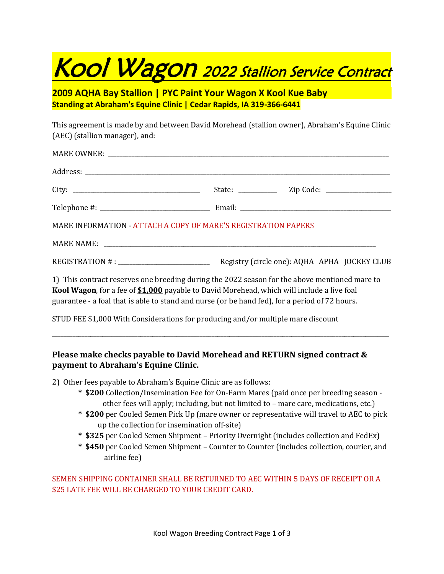## Kool Wagon 2022 Stallion Service Contract

**2009 AQHA Bay Stallion | PYC Paint Your Wagon X Kool Kue Baby Standing at Abraham's Equine Clinic | Cedar Rapids, IA 319-366-6441**

This agreement is made by and between David Morehead (stallion owner), Abraham's Equine Clinic (AEC) (stallion manager), and:

| MARE INFORMATION - ATTACH A COPY OF MARE'S REGISTRATION PAPERS                                                                                                                                                                                                                                |  |  |
|-----------------------------------------------------------------------------------------------------------------------------------------------------------------------------------------------------------------------------------------------------------------------------------------------|--|--|
|                                                                                                                                                                                                                                                                                               |  |  |
|                                                                                                                                                                                                                                                                                               |  |  |
| 1) This contract reserves one breeding during the 2022 season for the above mentioned mare to<br>Kool Wagon, for a fee of \$1,000 payable to David Morehead, which will include a live foal<br>guarantee - a foal that is able to stand and nurse (or be hand fed), for a period of 72 hours. |  |  |
| STUD FEE \$1,000 With Considerations for producing and/or multiple mare discount                                                                                                                                                                                                              |  |  |

## **Please make checks payable to David Morehead and RETURN signed contract & payment to Abraham's Equine Clinic.**

\_\_\_\_\_\_\_\_\_\_\_\_\_\_\_\_\_\_\_\_\_\_\_\_\_\_\_\_\_\_\_\_\_\_\_\_\_\_\_\_\_\_\_\_\_\_\_\_\_\_\_\_\_\_\_\_\_\_\_\_\_\_\_\_\_\_\_\_\_\_\_\_\_\_\_\_\_\_\_\_\_\_\_\_\_\_\_\_\_\_\_\_\_\_\_\_\_\_\_\_\_\_\_\_\_\_\_\_\_\_\_\_\_\_

2) Other fees payable to Abraham's Equine Clinic are as follows:

- **\* \$200** Collection/Insemination Fee for On-Farm Mares (paid once per breeding season other fees will apply; including, but not limited to – mare care, medications, etc.)
- **\* \$200** per Cooled Semen Pick Up (mare owner or representative will travel to AEC to pick up the collection for insemination off-site)
- **\* \$325** per Cooled Semen Shipment Priority Overnight (includes collection and FedEx)
- **\* \$450** per Cooled Semen Shipment Counter to Counter (includes collection, courier, and airline fee)

SEMEN SHIPPING CONTAINER SHALL BE RETURNED TO AEC WITHIN 5 DAYS OF RECEIPT OR A \$25 LATE FEE WILL BE CHARGED TO YOUR CREDIT CARD.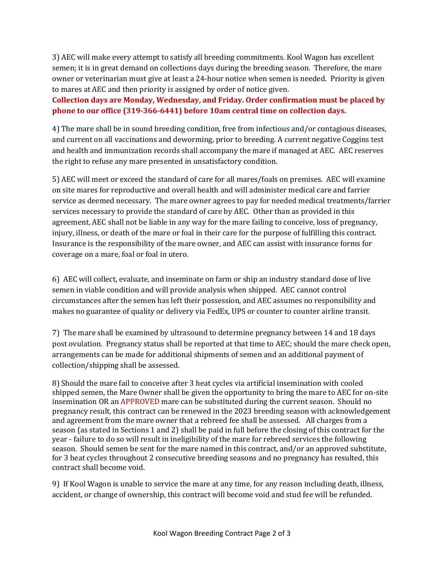3) AEC will make every attempt to satisfy all breeding commitments. Kool Wagon has excellent semen; it is in great demand on collections days during the breeding season. Therefore, the mare owner or veterinarian must give at least a 24-hour notice when semen is needed. Priority is given to mares at AEC and then priority is assigned by order of notice given.

**Collection days are Monday, Wednesday, and Friday. Order confirmation must be placed by phone to our office (319-366-6441) before 10am central time on collection days.**

4) The mare shall be in sound breeding condition, free from infectious and/or contagious diseases, and current on all vaccinations and deworming, prior to breeding. A current negative Coggins test and health and immunization records shall accompany the mare if managed at AEC. AEC reserves the right to refuse any mare presented in unsatisfactory condition.

5) AEC will meet or exceed the standard of care for all mares/foals on premises. AEC will examine on site mares for reproductive and overall health and will administer medical care and farrier service as deemed necessary. The mare owner agrees to pay for needed medical treatments/farrier services necessary to provide the standard of care by AEC. Other than as provided in this agreement, AEC shall not be liable in any way for the mare failing to conceive, loss of pregnancy, injury, illness, or death of the mare or foal in their care for the purpose of fulfilling this contract. Insurance is the responsibility of the mare owner, and AEC can assist with insurance forms for coverage on a mare, foal or foal in utero.

6)AEC will collect, evaluate, and inseminate on farm or ship an industry standard dose of live semen in viable condition and will provide analysis when shipped. AEC cannot control circumstances after the semen has left their possession, and AEC assumes no responsibility and makes no guarantee of quality or delivery via FedEx, UPS or counter to counter airline transit.

7)The mare shall be examined by ultrasound to determine pregnancy between 14 and 18 days post ovulation. Pregnancy status shall be reported at that time to AEC; should the mare check open, arrangements can be made for additional shipments of semen and an additional payment of collection/shipping shall be assessed.

8) Should the mare fail to conceive after 3 heat cycles via artificial insemination with cooled shipped semen, the Mare Owner shall be given the opportunity to bring the mare to AEC for on-site insemination OR an APPROVED mare can be substituted during the current season. Should no pregnancy result, this contract can be renewed in the 2023 breeding season with acknowledgement and agreement from the mare owner that a rebreed fee shall be assessed. All charges from a season (as stated in Sections 1 and 2) shall be paid in full before the closing of this contract for the year - failure to do so will result in ineligibility of the mare for rebreed services the following season. Should semen be sent for the mare named in this contract, and/or an approved substitute, for 3 heat cycles throughout 2 consecutive breeding seasons and no pregnancy has resulted, this contract shall become void.

9) If Kool Wagon is unable to service the mare at any time, for any reason including death, illness, accident, or change of ownership, this contract will become void and stud fee will be refunded.